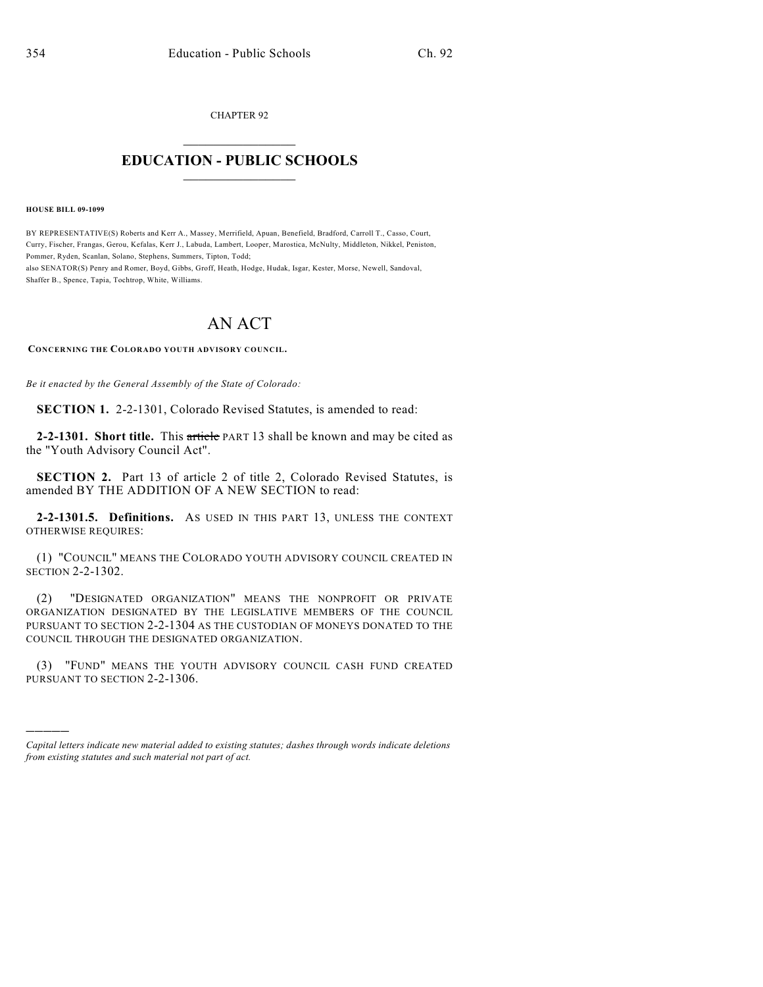CHAPTER 92  $\overline{\phantom{a}}$  . The set of the set of the set of the set of the set of the set of the set of the set of the set of the set of the set of the set of the set of the set of the set of the set of the set of the set of the set o

## **EDUCATION - PUBLIC SCHOOLS**  $\_$   $\_$   $\_$   $\_$   $\_$   $\_$   $\_$   $\_$   $\_$

**HOUSE BILL 09-1099**

)))))

BY REPRESENTATIVE(S) Roberts and Kerr A., Massey, Merrifield, Apuan, Benefield, Bradford, Carroll T., Casso, Court, Curry, Fischer, Frangas, Gerou, Kefalas, Kerr J., Labuda, Lambert, Looper, Marostica, McNulty, Middleton, Nikkel, Peniston, Pommer, Ryden, Scanlan, Solano, Stephens, Summers, Tipton, Todd;

also SENATOR(S) Penry and Romer, Boyd, Gibbs, Groff, Heath, Hodge, Hudak, Isgar, Kester, Morse, Newell, Sandoval, Shaffer B., Spence, Tapia, Tochtrop, White, Williams.

## AN ACT

**CONCERNING THE COLORADO YOUTH ADVISORY COUNCIL.**

*Be it enacted by the General Assembly of the State of Colorado:*

**SECTION 1.** 2-2-1301, Colorado Revised Statutes, is amended to read:

**2-2-1301. Short title.** This article PART 13 shall be known and may be cited as the "Youth Advisory Council Act".

**SECTION 2.** Part 13 of article 2 of title 2, Colorado Revised Statutes, is amended BY THE ADDITION OF A NEW SECTION to read:

**2-2-1301.5. Definitions.** AS USED IN THIS PART 13, UNLESS THE CONTEXT OTHERWISE REQUIRES:

(1) "COUNCIL" MEANS THE COLORADO YOUTH ADVISORY COUNCIL CREATED IN SECTION 2-2-1302.

(2) "DESIGNATED ORGANIZATION" MEANS THE NONPROFIT OR PRIVATE ORGANIZATION DESIGNATED BY THE LEGISLATIVE MEMBERS OF THE COUNCIL PURSUANT TO SECTION 2-2-1304 AS THE CUSTODIAN OF MONEYS DONATED TO THE COUNCIL THROUGH THE DESIGNATED ORGANIZATION.

(3) "FUND" MEANS THE YOUTH ADVISORY COUNCIL CASH FUND CREATED PURSUANT TO SECTION 2-2-1306.

*Capital letters indicate new material added to existing statutes; dashes through words indicate deletions from existing statutes and such material not part of act.*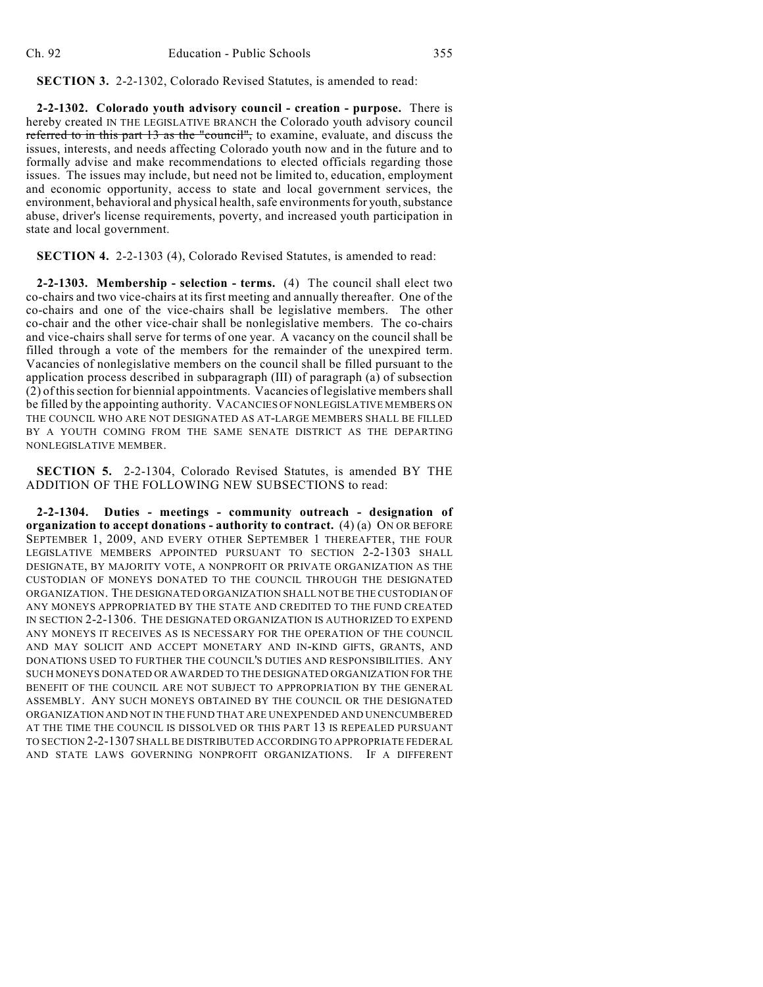**SECTION 3.** 2-2-1302, Colorado Revised Statutes, is amended to read:

**2-2-1302. Colorado youth advisory council - creation - purpose.** There is hereby created IN THE LEGISLATIVE BRANCH the Colorado youth advisory council referred to in this part 13 as the "council", to examine, evaluate, and discuss the issues, interests, and needs affecting Colorado youth now and in the future and to formally advise and make recommendations to elected officials regarding those issues. The issues may include, but need not be limited to, education, employment and economic opportunity, access to state and local government services, the environment, behavioral and physical health, safe environments for youth, substance abuse, driver's license requirements, poverty, and increased youth participation in state and local government.

**SECTION 4.** 2-2-1303 (4), Colorado Revised Statutes, is amended to read:

**2-2-1303. Membership - selection - terms.** (4) The council shall elect two co-chairs and two vice-chairs at its first meeting and annually thereafter. One of the co-chairs and one of the vice-chairs shall be legislative members. The other co-chair and the other vice-chair shall be nonlegislative members. The co-chairs and vice-chairs shall serve for terms of one year. A vacancy on the council shall be filled through a vote of the members for the remainder of the unexpired term. Vacancies of nonlegislative members on the council shall be filled pursuant to the application process described in subparagraph (III) of paragraph (a) of subsection (2) of this section for biennial appointments. Vacancies of legislative members shall be filled by the appointing authority. VACANCIES OF NONLEGISLATIVE MEMBERS ON THE COUNCIL WHO ARE NOT DESIGNATED AS AT-LARGE MEMBERS SHALL BE FILLED BY A YOUTH COMING FROM THE SAME SENATE DISTRICT AS THE DEPARTING NONLEGISLATIVE MEMBER.

**SECTION 5.** 2-2-1304, Colorado Revised Statutes, is amended BY THE ADDITION OF THE FOLLOWING NEW SUBSECTIONS to read:

**2-2-1304. Duties - meetings - community outreach - designation of organization to accept donations - authority to contract.** (4) (a) ON OR BEFORE SEPTEMBER 1, 2009, AND EVERY OTHER SEPTEMBER 1 THEREAFTER, THE FOUR LEGISLATIVE MEMBERS APPOINTED PURSUANT TO SECTION 2-2-1303 SHALL DESIGNATE, BY MAJORITY VOTE, A NONPROFIT OR PRIVATE ORGANIZATION AS THE CUSTODIAN OF MONEYS DONATED TO THE COUNCIL THROUGH THE DESIGNATED ORGANIZATION. THE DESIGNATED ORGANIZATION SHALL NOT BE THE CUSTODIAN OF ANY MONEYS APPROPRIATED BY THE STATE AND CREDITED TO THE FUND CREATED IN SECTION 2-2-1306. THE DESIGNATED ORGANIZATION IS AUTHORIZED TO EXPEND ANY MONEYS IT RECEIVES AS IS NECESSARY FOR THE OPERATION OF THE COUNCIL AND MAY SOLICIT AND ACCEPT MONETARY AND IN-KIND GIFTS, GRANTS, AND DONATIONS USED TO FURTHER THE COUNCIL'S DUTIES AND RESPONSIBILITIES. ANY SUCH MONEYS DONATED OR AWARDED TO THE DESIGNATED ORGANIZATION FOR THE BENEFIT OF THE COUNCIL ARE NOT SUBJECT TO APPROPRIATION BY THE GENERAL ASSEMBLY. ANY SUCH MONEYS OBTAINED BY THE COUNCIL OR THE DESIGNATED ORGANIZATION AND NOT IN THE FUND THAT ARE UNEXPENDED AND UNENCUMBERED AT THE TIME THE COUNCIL IS DISSOLVED OR THIS PART 13 IS REPEALED PURSUANT TO SECTION 2-2-1307 SHALL BE DISTRIBUTED ACCORDING TO APPROPRIATE FEDERAL AND STATE LAWS GOVERNING NONPROFIT ORGANIZATIONS. IF A DIFFERENT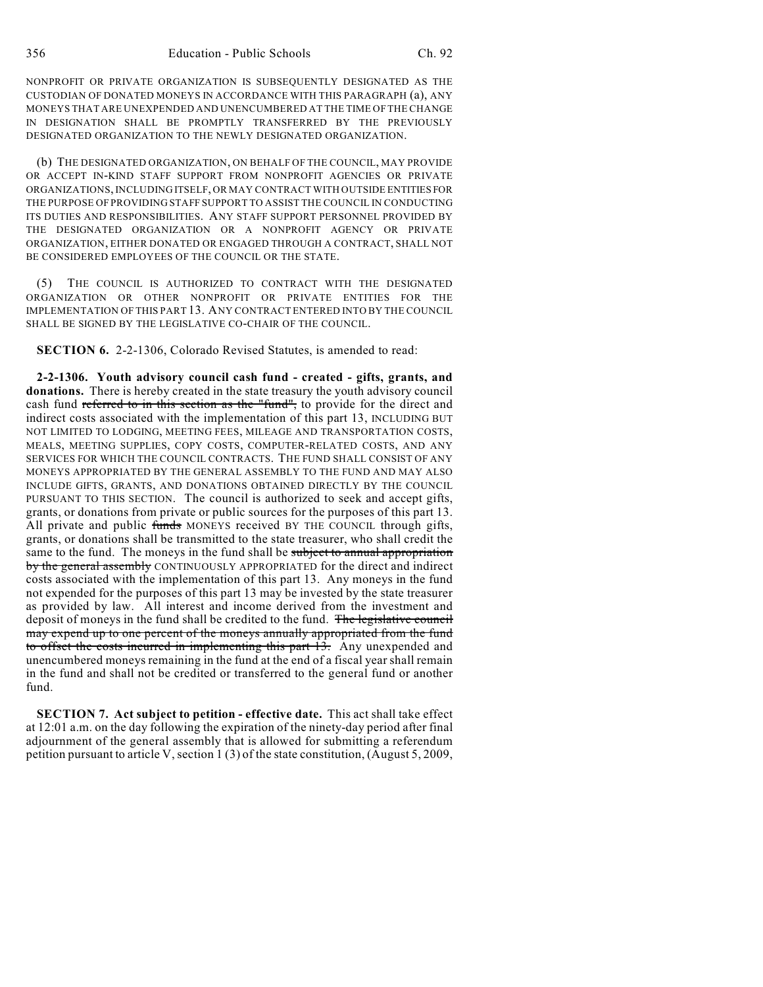NONPROFIT OR PRIVATE ORGANIZATION IS SUBSEQUENTLY DESIGNATED AS THE CUSTODIAN OF DONATED MONEYS IN ACCORDANCE WITH THIS PARAGRAPH (a), ANY MONEYS THAT ARE UNEXPENDED AND UNENCUMBERED AT THE TIME OF THE CHANGE IN DESIGNATION SHALL BE PROMPTLY TRANSFERRED BY THE PREVIOUSLY DESIGNATED ORGANIZATION TO THE NEWLY DESIGNATED ORGANIZATION.

(b) THE DESIGNATED ORGANIZATION, ON BEHALF OF THE COUNCIL, MAY PROVIDE OR ACCEPT IN-KIND STAFF SUPPORT FROM NONPROFIT AGENCIES OR PRIVATE ORGANIZATIONS, INCLUDING ITSELF, OR MAY CONTRACT WITH OUTSIDE ENTITIES FOR THE PURPOSE OF PROVIDING STAFF SUPPORT TO ASSIST THE COUNCIL IN CONDUCTING ITS DUTIES AND RESPONSIBILITIES. ANY STAFF SUPPORT PERSONNEL PROVIDED BY THE DESIGNATED ORGANIZATION OR A NONPROFIT AGENCY OR PRIVATE ORGANIZATION, EITHER DONATED OR ENGAGED THROUGH A CONTRACT, SHALL NOT BE CONSIDERED EMPLOYEES OF THE COUNCIL OR THE STATE.

(5) THE COUNCIL IS AUTHORIZED TO CONTRACT WITH THE DESIGNATED ORGANIZATION OR OTHER NONPROFIT OR PRIVATE ENTITIES FOR THE IMPLEMENTATION OF THIS PART 13. ANY CONTRACT ENTERED INTO BY THE COUNCIL SHALL BE SIGNED BY THE LEGISLATIVE CO-CHAIR OF THE COUNCIL.

**SECTION 6.** 2-2-1306, Colorado Revised Statutes, is amended to read:

**2-2-1306. Youth advisory council cash fund - created - gifts, grants, and donations.** There is hereby created in the state treasury the youth advisory council cash fund referred to in this section as the "fund", to provide for the direct and indirect costs associated with the implementation of this part 13, INCLUDING BUT NOT LIMITED TO LODGING, MEETING FEES, MILEAGE AND TRANSPORTATION COSTS, MEALS, MEETING SUPPLIES, COPY COSTS, COMPUTER-RELATED COSTS, AND ANY SERVICES FOR WHICH THE COUNCIL CONTRACTS. THE FUND SHALL CONSIST OF ANY MONEYS APPROPRIATED BY THE GENERAL ASSEMBLY TO THE FUND AND MAY ALSO INCLUDE GIFTS, GRANTS, AND DONATIONS OBTAINED DIRECTLY BY THE COUNCIL PURSUANT TO THIS SECTION. The council is authorized to seek and accept gifts, grants, or donations from private or public sources for the purposes of this part 13. All private and public funds MONEYS received BY THE COUNCIL through gifts, grants, or donations shall be transmitted to the state treasurer, who shall credit the same to the fund. The moneys in the fund shall be subject to annual appropriation by the general assembly CONTINUOUSLY APPROPRIATED for the direct and indirect costs associated with the implementation of this part 13. Any moneys in the fund not expended for the purposes of this part 13 may be invested by the state treasurer as provided by law. All interest and income derived from the investment and deposit of moneys in the fund shall be credited to the fund. The legislative council may expend up to one percent of the moneys annually appropriated from the fund to offset the costs incurred in implementing this part 13. Any unexpended and unencumbered moneys remaining in the fund at the end of a fiscal year shall remain in the fund and shall not be credited or transferred to the general fund or another fund.

**SECTION 7. Act subject to petition - effective date.** This act shall take effect at 12:01 a.m. on the day following the expiration of the ninety-day period after final adjournment of the general assembly that is allowed for submitting a referendum petition pursuant to article V, section 1 (3) of the state constitution, (August 5, 2009,